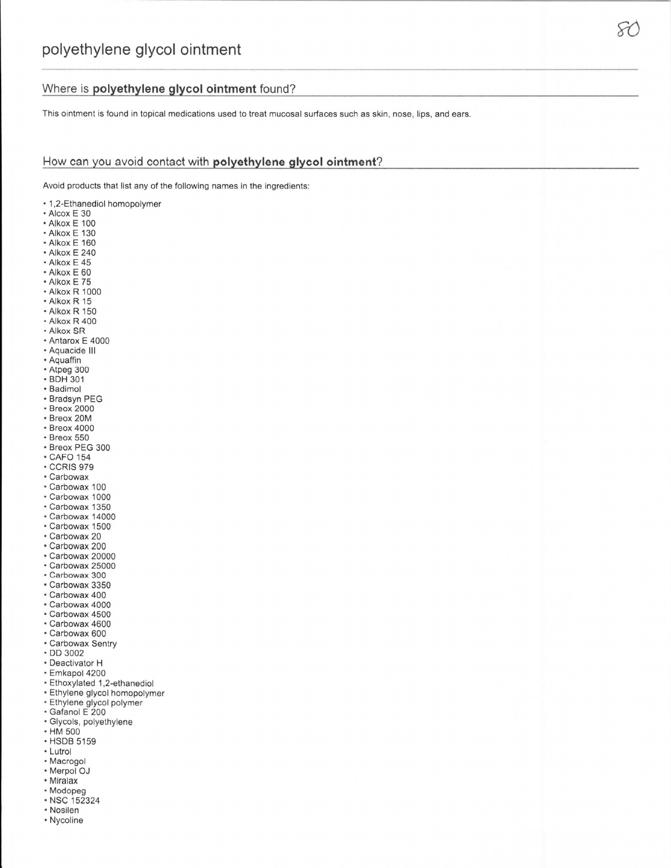## Where is polyethylene glycol ointment found?

This ointment is found in topical medications used to treat mucosal surfaces such as skin, nose, lips, and ears.

## How can you avoid contact with polyethylene glycol ointment?

Avoid products that list any of the following names in the ingredients:

- 1,2-Ethanediol homopolymer
- Alcox E 30
- Alkox E 100
- Alkox E 130
- Alkox E 160
- Alkox E 240
- Alkox E 45
- Alkox E 60 • Alkox E 75
- Alkox R 1000
- Alkox R 15
- Alkox R 150
- Alkox R 400
- · Alkox SR
- Antarox E 4000
- Aquacide III
- Aquaffin
- Atpeg 300
- · BDH 301
- · Badimol
- · Bradsyn PEG
- Breox 2000
- · Breox 20M
- Breox 4000
- · Breox 550
- · Breox PEG 300
- CAFO 154
- **CCRIS 979**
- Carbowax
- · Carbowax 100
- · Carbowax 1000
- · Carbowax 1350
- · Carbowax 14000
- · Carbowax 1500
- · Carbowax 20
- Carbowax 200
- · Carbowax 20000
- · Carbowax 25000
- · Carbowax 300
- · Carbowax 3350
- · Carbowax 400
- · Carbowax 4000
- · Carbowax 4500
- · Carbowax 4600
- · Carbowax 600
- · Carbowax Sentry
- · DD 3002
- Deactivator H
- · Emkapol 4200
- · Ethoxylated 1,2-ethanediol
- · Ethylene glycol homopolymer
- · Ethylene glycol polymer
- · Gafanol E 200
- · Glycols, polyethylene
- HM 500
- · HSDB 5159
- Lutrol
- Macrogol
- Merpol OJ
- Miralax
- Modopeg
- · NSC 152324
- Nosilen
- Nycoline